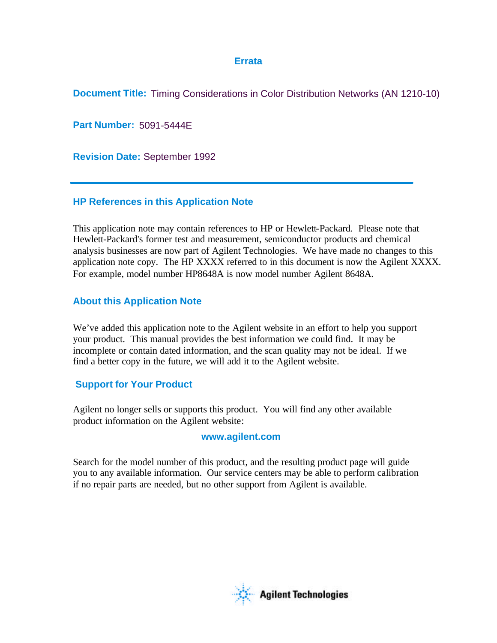# **Errata**

**Document Title:** Timing Considerations in Color Distribution Networks (AN 1210-10)

**Part Number:** 5091-5444E

**Revision Date:** September 1992

# **HP References in this Application Note**

This application note may contain references to HP or Hewlett-Packard. Please note that Hewlett-Packard's former test and measurement, semiconductor products and chemical analysis businesses are now part of Agilent Technologies. We have made no changes to this application note copy. The HP XXXX referred to in this document is now the Agilent XXXX. For example, model number HP8648A is now model number Agilent 8648A.

# **About this Application Note**

We've added this application note to the Agilent website in an effort to help you support your product. This manual provides the best information we could find. It may be incomplete or contain dated information, and the scan quality may not be ideal. If we find a better copy in the future, we will add it to the Agilent website.

# **Support for Your Product**

Agilent no longer sells or supports this product. You will find any other available product information on the Agilent website:

# **www.agilent.com**

Search for the model number of this product, and the resulting product page will guide you to any available information. Our service centers may be able to perform calibration if no repair parts are needed, but no other support from Agilent is available.

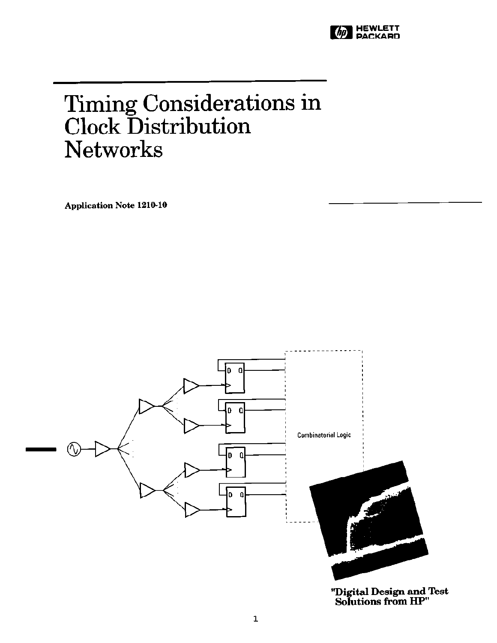

# Timing Considerations in<br>Clock Distribution **Networks**

**Application Note 1210-10** 



"Digital Design and Test<br>Solutions from HP"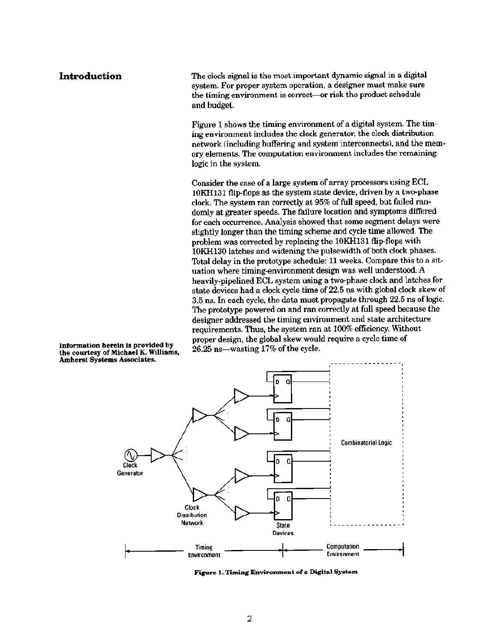# Introduction

The clock signal is the most important dynamic signal in a digital system. For proper system operation, a designer must make sure the timing environment is correct-or risk the product schedule and budget.

Figure 1 shows the timing environment of a digital system. The timing environment includes the clock generator, the clock distribution network (including buffering and system interconnects), and the memory elements. The computation environment includes the remaining logic in the system.

Consider the case of a large system of array processors using ECL 10KH131 flip-flops as the system state device, driven by a two-phase clock. The system ran correctly at 95% of full speed, but failed randomly at greater speeds. The failure location and symptoms differed for each occurrence. Analysis showed that some segment delays were slightly longer than the timing scheme and cycle time allowed. The problem was corrected by replacing the 10KH131 flip-flops with 10KH130 latches and widening the pulsewidth of both clock phases. Total delay in the prototype schedule: 11 weeks. Compare this to a situation where timing-environment design was well understood. A heavily-pipelined ECL system using a two-phase clock and latches for state devices had a clock cycle time of 22.5 ns with global clock skew of 3.5 ns. In each cycle, the data must propagate through 22.5 ns of logic. The prototype powered on and ran correctly at full speed because the designer addressed the timing environment and state architecture requirements. Thus, the system ran at 100% efficiency. Without proper design, the global skew would require a cycle time of 26.25 ns-wasting 17% of the cycle.



Figure 1. Timing Environment of a Digital System

Information herein is provided by the courtesy of Michael K. Williams, **Amherst Systems Associates.**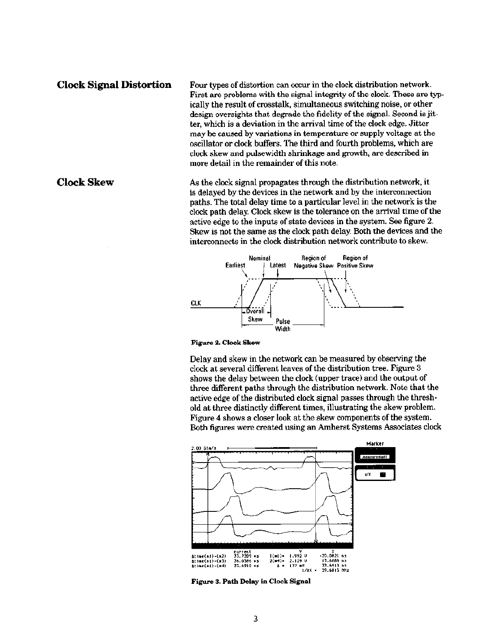### **Clock Signal Distortion**

Four types of distortion can occur in the clock distribution network. First are problems with the signal integrity of the clock. These are typically the result of crosstalk, simultaneous switching noise, or other design oversights that degrade the fidelity of the signal. Second is jitter, which is a deviation in the arrival time of the clock edge. Jitter may be caused by variations in temperature or supply voltage at the oscillator or clock buffers. The third and fourth problems, which are clock skew and pulsewidth shrinkage and growth, are described in more detail in the remainder of this note.

As the clock signal propagates through the distribution network, it is delayed by the devices in the network and by the interconnection paths. The total delay time to a particular level in the network is the clock path delay. Clock skew is the tolerance on the arrival time of the active edge to the inputs of state devices in the system. See figure 2. Skew is not the same as the clock path delay. Both the devices and the interconnects in the clock distribution network contribute to skew.



### Figure 2. Clock Skew

Delay and skew in the network can be measured by observing the clock at several different leaves of the distribution tree. Figure 3 shows the delay between the clock (upper trace) and the output of three different paths through the distribution network. Note that the active edge of the distributed clock signal passes through the threshold at three distinctly different times, illustrating the skew problem. Figure 4 shows a closer look at the skew components of the system. Both figures were created using an Amherst Systems Associates clock



Figure 3. Path Delay in Clock Signal

# **Clock Skew**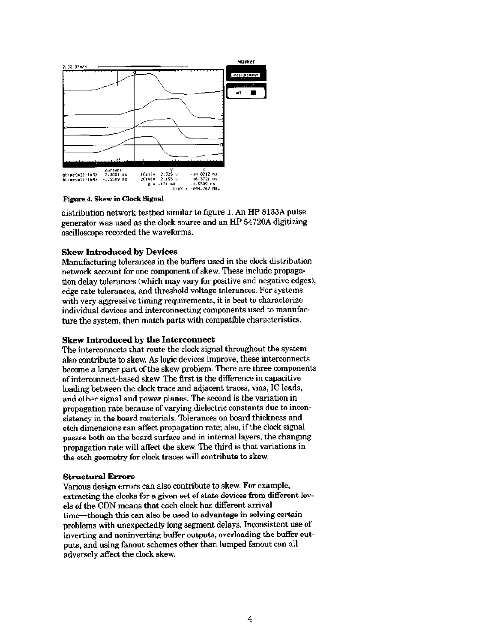

Figure 4. Skew in Clock Signal

distribution network testbed similar to figure 1. An HP 8133A pulse generator was used as the clock source and an HP 54720A digitizing oscilloscope recorded the waveforms.

### **Skew Introduced by Devices**

Manufacturing tolerances in the buffers used in the clock distribution network account for one component of skew. These include propagation delay tolerances (which may vary for positive and negative edges), edge rate tolerances, and threshold voltage tolerances. For systems with very aggressive timing requirements, it is best to characterize individual devices and interconnecting components used to manufacture the system, then match parts with compatible characteristics.

### **Skew Introduced by the Interconnect**

The interconnects that route the clock signal throughout the system also contribute to skew. As logic devices improve, these interconnects become a larger part of the skew problem. There are three components of interconnect-based skew. The first is the difference in capacitive loading between the clock trace and adjacent traces, vias, IC leads, and other signal and power planes. The second is the variation in propagation rate because of varying dielectric constants due to inconsistency in the board materials. Tolerances on board thickness and etch dimensions can affect propagation rate; also, if the clock signal passes both on the board surface and in internal layers, the changing propagation rate will affect the skew. The third is that variations in the etch geometry for clock traces will contribute to skew.

### **Structural Errors**

Various design errors can also contribute to skew. For example, extracting the clocks for a given set of state devices from different levels of the CDN means that each clock has different arrival time—though this can also be used to advantage in solving certain problems with unexpectedly long segment delays. Inconsistent use of inverting and noninverting buffer outputs, overloading the buffer outputs, and using fanout schemes other than lumped fanout can all adversely affect the clock skew.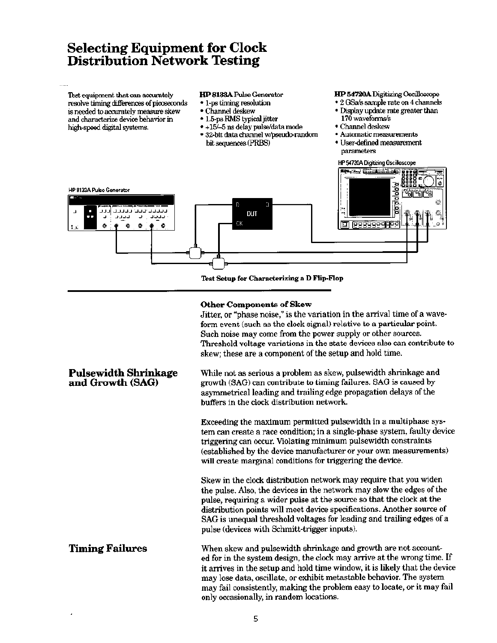# **Selecting Equipment for Clock Distribution Network Testing**

Test equipment that can accurately resolve timing differences of picoseconds is needed to accurately measure skew and characterize device behavior in high-speed digital systems.

- HP 8133A Pulse Generator
- 1-ps timing resolution
- · Channel deskew
- 1.5-ps RMS typical jitter
- + +15/-5 ns delay pulse/data mode
- · 32-bit data channel w/pseudo-random bit sequences (PRBS)

HP 54720A Digitizing Oscilloscope

- · 2 GSa/s sample rate on 4 channels
- · Display update rate greater than 170 waveforms/s
- Channel deskew
- · Automatic measurements
- User-defined measurement parameters



Test Setup for Characterizing a D Flip-Flop

### **Other Components of Skew**

Jitter, or "phase noise," is the variation in the arrival time of a waveform event (such as the clock signal) relative to a particular point. Such noise may come from the power supply or other sources. Threshold voltage variations in the state devices also can contribute to skew; these are a component of the setup and hold time.

While not as serious a problem as skew, pulsewidth shrinkage and growth (SAG) can contribute to timing failures. SAG is caused by asymmetrical leading and trailing edge propagation delays of the buffers in the clock distribution network.

Exceeding the maximum permitted pulsewidth in a multiphase system can create a race condition; in a single-phase system, faulty device triggering can occur. Violating minimum pulsewidth constraints (established by the device manufacturer or your own measurements) will create marginal conditions for triggering the device.

Skew in the clock distribution network may require that you widen the pulse. Also, the devices in the network may slow the edges of the pulse, requiring a wider pulse at the source so that the clock at the distribution points will meet device specifications. Another source of SAG is unequal threshold voltages for leading and trailing edges of a pulse (devices with Schmitt-trigger inputs).

**Timing Failures** When skew and pulsewidth shrinkage and growth are not accounted for in the system design, the clock may arrive at the wrong time. If it arrives in the setup and hold time window, it is likely that the device may lose data, oscillate, or exhibit metastable behavior. The system may fail consistently, making the problem easy to locate, or it may fail only occasionally, in random locations.

# **Pulsewidth Shrinkage** and Growth (SAG)